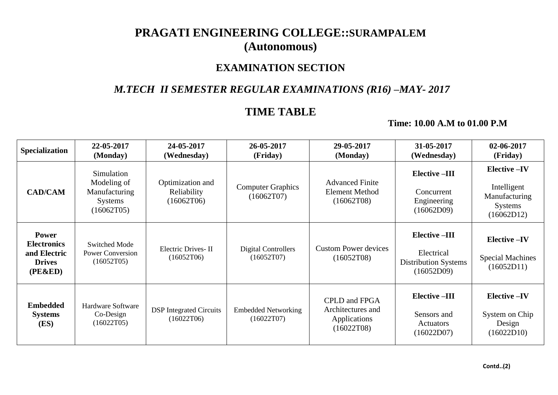# **PRAGATI ENGINEERING COLLEGE::SURAMPALEM (Autonomous)**

### **EXAMINATION SECTION**

### *M.TECH II SEMESTER REGULAR EXAMINATIONS (R16) –MAY- 2017*

## **TIME TABLE**

#### **Time: 10.00 A.M to 01.00 P.M**

| <b>Specialization</b>                                                          | 22-05-2017<br>(Monday)                                                     | 24-05-2017<br>(Wednesday)                     | 26-05-2017<br>(Friday)                   | 29-05-2017<br>(Monday)                                                  | 31-05-2017<br>(Wednesday)                                                      | 02-06-2017<br>(Friday)                                                              |
|--------------------------------------------------------------------------------|----------------------------------------------------------------------------|-----------------------------------------------|------------------------------------------|-------------------------------------------------------------------------|--------------------------------------------------------------------------------|-------------------------------------------------------------------------------------|
| <b>CAD/CAM</b>                                                                 | Simulation<br>Modeling of<br>Manufacturing<br><b>Systems</b><br>(16062T05) | Optimization and<br>Reliability<br>(16062T06) | <b>Computer Graphics</b><br>(16062T07)   | <b>Advanced Finite</b><br><b>Element Method</b><br>(16062T08)           | Elective -III<br>Concurrent<br>Engineering<br>(16062D09)                       | <b>Elective -IV</b><br>Intelligent<br>Manufacturing<br><b>Systems</b><br>(16062D12) |
| <b>Power</b><br><b>Electronics</b><br>and Electric<br><b>Drives</b><br>(PE&ED) | <b>Switched Mode</b><br><b>Power Conversion</b><br>(16052T05)              | Electric Drives-II<br>(16052T06)              | <b>Digital Controllers</b><br>(16052T07) | <b>Custom Power devices</b><br>(16052T08)                               | <b>Elective-III</b><br>Electrical<br><b>Distribution Systems</b><br>(16052D09) | <b>Elective-IV</b><br><b>Special Machines</b><br>(16052D11)                         |
| <b>Embedded</b><br><b>Systems</b><br>(ES)                                      | Hardware Software<br>Co-Design<br>(16022T05)                               | <b>DSP</b> Integrated Circuits<br>(16022T06)  | <b>Embedded Networking</b><br>(16022T07) | <b>CPLD</b> and FPGA<br>Architectures and<br>Applications<br>(16022T08) | <b>Elective-III</b><br>Sensors and<br>Actuators<br>(16022D07)                  | <b>Elective-IV</b><br>System on Chip<br>Design<br>(16022D10)                        |